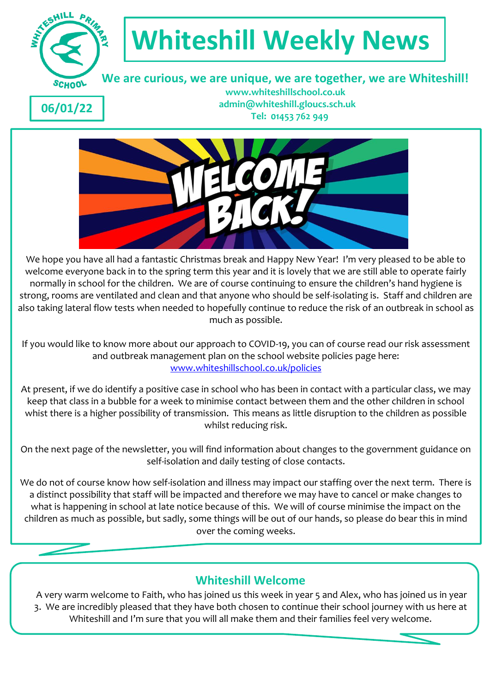

# **Whiteshill Weekly News**

 **We are curious, we are unique, we are together, we are Whiteshill!**

**06/01/22**

 **www.whiteshillschool.co.uk admin@whiteshill.gloucs.sch.uk Tel: 01453 762 949**



We hope you have all had a fantastic Christmas break and Happy New Year! I'm very pleased to be able to welcome everyone back in to the spring term this year and it is lovely that we are still able to operate fairly normally in school for the children. We are of course continuing to ensure the children's hand hygiene is strong, rooms are ventilated and clean and that anyone who should be self-isolating is. Staff and children are also taking lateral flow tests when needed to hopefully continue to reduce the risk of an outbreak in school as much as possible.

If you would like to know more about our approach to COVID-19, you can of course read our risk assessment and outbreak management plan on the school website policies page here: [www.whiteshillschool.co.uk/policies](http://www.whiteshillschool.co.uk/policies)

At present, if we do identify a positive case in school who has been in contact with a particular class, we may keep that class in a bubble for a week to minimise contact between them and the other children in school whist there is a higher possibility of transmission. This means as little disruption to the children as possible whilst reducing risk.

On the next page of the newsletter, you will find information about changes to the government guidance on self-isolation and daily testing of close contacts.

We do not of course know how self-isolation and illness may impact our staffing over the next term. There is a distinct possibility that staff will be impacted and therefore we may have to cancel or make changes to what is happening in school at late notice because of this. We will of course minimise the impact on the children as much as possible, but sadly, some things will be out of our hands, so please do bear this in mind over the coming weeks.

## **Whiteshill Welcome**

A very warm welcome to Faith, who has joined us this week in year 5 and Alex, who has joined us in year 3. We are incredibly pleased that they have both chosen to continue their school journey with us here at Whiteshill and I'm sure that you will all make them and their families feel very welcome.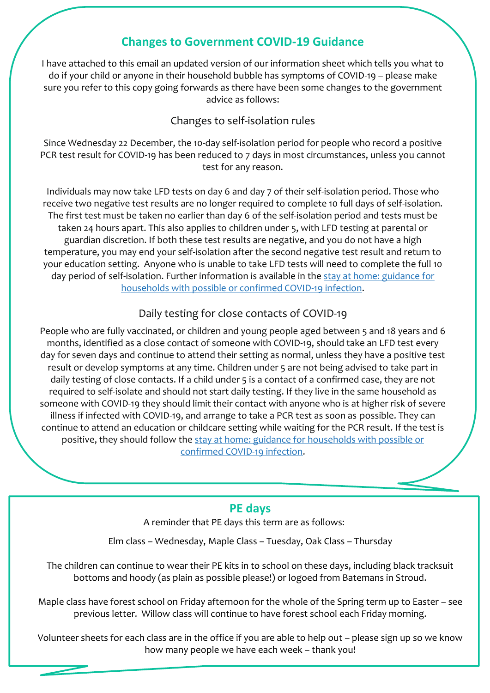## **Changes to Government COVID-19 Guidance**

I have attached to this email an updated version of our information sheet which tells you what to do if your child or anyone in their household bubble has symptoms of COVID-19 – please make sure you refer to this copy going forwards as there have been some changes to the government advice as follows:

#### Changes to self-isolation rules

Since Wednesday 22 December, the 10-day self-isolation period for people who record a positive PCR test result for COVID-19 has been reduced to 7 days in most circumstances, unless you cannot test for any reason.

Individuals may now take LFD tests on day 6 and day 7 of their self-isolation period. Those who receive two negative test results are no longer required to complete 10 full days of self-isolation. The first test must be taken no earlier than day 6 of the self-isolation period and tests must be taken 24 hours apart. This also applies to children under 5, with LFD testing at parental or guardian discretion. If both these test results are negative, and you do not have a high temperature, you may end your self-isolation after the second negative test result and return to your education setting. Anyone who is unable to take LFD tests will need to complete the full 10 day period of self-isolation. Further information is available in the [stay at home: guidance for](https://www.gov.uk/government/publications/covid-19-stay-at-home-guidance/stay-at-home-guidance-for-households-with-possible-coronavirus-covid-19-infection?utm_source=2%20January%202022%20C19&utm_medium=Daily%20Email%20C19&utm_campaign=DfE%20C19)  [households with possible or confirmed COVID-19 infection.](https://www.gov.uk/government/publications/covid-19-stay-at-home-guidance/stay-at-home-guidance-for-households-with-possible-coronavirus-covid-19-infection?utm_source=2%20January%202022%20C19&utm_medium=Daily%20Email%20C19&utm_campaign=DfE%20C19)

#### Daily testing for close contacts of COVID-19

People who are fully vaccinated, or children and young people aged between 5 and 18 years and 6 months, identified as a close contact of someone with COVID-19, should take an LFD test every day for seven days and continue to attend their setting as normal, unless they have a positive test result or develop symptoms at any time. Children under 5 are not being advised to take part in daily testing of close contacts. If a child under 5 is a contact of a confirmed case, they are not required to self-isolate and should not start daily testing. If they live in the same household as someone with COVID-19 they should limit their contact with anyone who is at higher risk of severe illness if infected with COVID-19, and arrange to take a PCR test as soon as possible. They can continue to attend an education or childcare setting while waiting for the PCR result. If the test is positive, they should follow the [stay at home: guidance for households with possible or](https://www.gov.uk/government/publications/covid-19-stay-at-home-guidance/stay-at-home-guidance-for-households-with-possible-coronavirus-covid-19-infection?utm_source=2%20January%202022%20C19&utm_medium=Daily%20Email%20C19&utm_campaign=DfE%20C19)  [confirmed COVID-19 infection.](https://www.gov.uk/government/publications/covid-19-stay-at-home-guidance/stay-at-home-guidance-for-households-with-possible-coronavirus-covid-19-infection?utm_source=2%20January%202022%20C19&utm_medium=Daily%20Email%20C19&utm_campaign=DfE%20C19)

#### **PE days**

A reminder that PE days this term are as follows:

Elm class – Wednesday, Maple Class – Tuesday, Oak Class – Thursday

The children can continue to wear their PE kits in to school on these days, including black tracksuit bottoms and hoody (as plain as possible please!) or logoed from Batemans in Stroud.

Maple class have forest school on Friday afternoon for the whole of the Spring term up to Easter – see previous letter. Willow class will continue to have forest school each Friday morning.

Volunteer sheets for each class are in the office if you are able to help out – please sign up so we know how many people we have each week – thank you!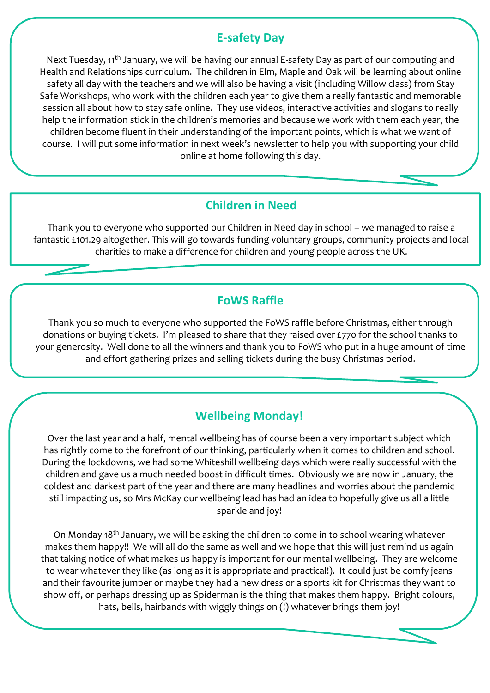### **E-safety Day**

Next Tuesday, 11<sup>th</sup> January, we will be having our annual E-safety Day as part of our computing and Health and Relationships curriculum. The children in Elm, Maple and Oak will be learning about online safety all day with the teachers and we will also be having a visit (including Willow class) from Stay Safe Workshops, who work with the children each year to give them a really fantastic and memorable session all about how to stay safe online. They use videos, interactive activities and slogans to really help the information stick in the children's memories and because we work with them each year, the children become fluent in their understanding of the important points, which is what we want of course. I will put some information in next week's newsletter to help you with supporting your child online at home following this day.

## **Children in Need**

Thank you to everyone who supported our Children in Need day in school – we managed to raise a fantastic £101.29 altogether. This will go towards funding voluntary groups, community projects and local charities to make a difference for children and young people across the UK.

## **FoWS Raffle**

Thank you so much to everyone who supported the FoWS raffle before Christmas, either through donations or buying tickets. I'm pleased to share that they raised over £770 for the school thanks to your generosity. Well done to all the winners and thank you to FoWS who put in a huge amount of time and effort gathering prizes and selling tickets during the busy Christmas period.

# **Wellbeing Monday!**

Over the last year and a half, mental wellbeing has of course been a very important subject which has rightly come to the forefront of our thinking, particularly when it comes to children and school. During the lockdowns, we had some Whiteshill wellbeing days which were really successful with the children and gave us a much needed boost in difficult times. Obviously we are now in January, the coldest and darkest part of the year and there are many headlines and worries about the pandemic still impacting us, so Mrs McKay our wellbeing lead has had an idea to hopefully give us all a little sparkle and joy!

On Monday 18<sup>th</sup> January, we will be asking the children to come in to school wearing whatever makes them happy!! We will all do the same as well and we hope that this will just remind us again that taking notice of what makes us happy is important for our mental wellbeing. They are welcome to wear whatever they like (as long as it is appropriate and practical!). It could just be comfy jeans and their favourite jumper or maybe they had a new dress or a sports kit for Christmas they want to show off, or perhaps dressing up as Spiderman is the thing that makes them happy. Bright colours, hats, bells, hairbands with wiggly things on (!) whatever brings them joy!